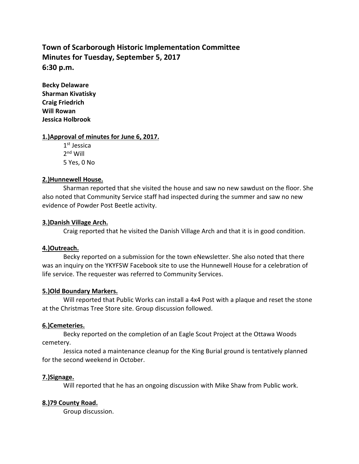# **Town of Scarborough Historic Implementation Committee Minutes for Tuesday, September 5, 2017 6:30 p.m.**

**Becky Delaware Sharman Kivatisky Craig Friedrich Will Rowan Jessica Holbrook**

#### **1.)Approval of minutes for June 6, 2017.**

1<sup>st</sup> Jessica 2<sup>nd</sup> Will 5 Yes, 0 No

#### **2.)Hunnewell House.**

Sharman reported that she visited the house and saw no new sawdust on the floor. She also noted that Community Service staff had inspected during the summer and saw no new evidence of Powder Post Beetle activity.

#### **3.)Danish Village Arch.**

Craig reported that he visited the Danish Village Arch and that it is in good condition.

# **4.)Outreach.**

Becky reported on a submission for the town eNewsletter. She also noted that there was an inquiry on the YKYFSW Facebook site to use the Hunnewell House for a celebration of life service. The requester was referred to Community Services.

# **5.)Old Boundary Markers.**

Will reported that Public Works can install a 4x4 Post with a plaque and reset the stone at the Christmas Tree Store site. Group discussion followed.

# **6.)Cemeteries.**

Becky reported on the completion of an Eagle Scout Project at the Ottawa Woods cemetery.

Jessica noted a maintenance cleanup for the King Burial ground is tentatively planned for the second weekend in October.

# **7.)Signage.**

Will reported that he has an ongoing discussion with Mike Shaw from Public work.

# **8.)79 County Road.**

Group discussion.